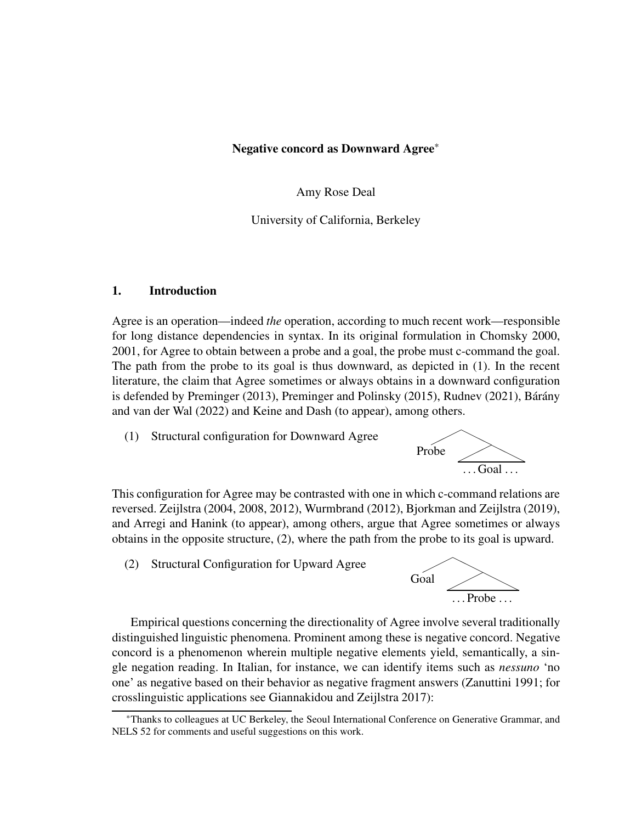### Negative concord as Downward Agree\*

Amy Rose Deal

University of California, Berkeley

### 1. Introduction

Agree is an operation—indeed *the* operation, according to much recent work—responsible for long distance dependencies in syntax. In its original formulation in Chomsky 2000, 2001, for Agree to obtain between a probe and a goal, the probe must c-command the goal. The path from the probe to its goal is thus downward, as depicted in (1). In the recent literature, the claim that Agree sometimes or always obtains in a downward configuration is defended by Preminger (2013), Preminger and Polinsky (2015), Rudnev (2021), Bárány and van der Wal (2022) and Keine and Dash (to appear), among others.

(1) Structural configuration for Downward Agree



This configuration for Agree may be contrasted with one in which c-command relations are reversed. Zeijlstra (2004, 2008, 2012), Wurmbrand (2012), Bjorkman and Zeijlstra (2019), and Arregi and Hanink (to appear), among others, argue that Agree sometimes or always obtains in the opposite structure, (2), where the path from the probe to its goal is upward.

(2) Structural Configuration for Upward Agree



Empirical questions concerning the directionality of Agree involve several traditionally distinguished linguistic phenomena. Prominent among these is negative concord. Negative concord is a phenomenon wherein multiple negative elements yield, semantically, a single negation reading. In Italian, for instance, we can identify items such as *nessuno* 'no one' as negative based on their behavior as negative fragment answers (Zanuttini 1991; for crosslinguistic applications see Giannakidou and Zeijlstra 2017):

<sup>\*</sup>Thanks to colleagues at UC Berkeley, the Seoul International Conference on Generative Grammar, and NELS 52 for comments and useful suggestions on this work.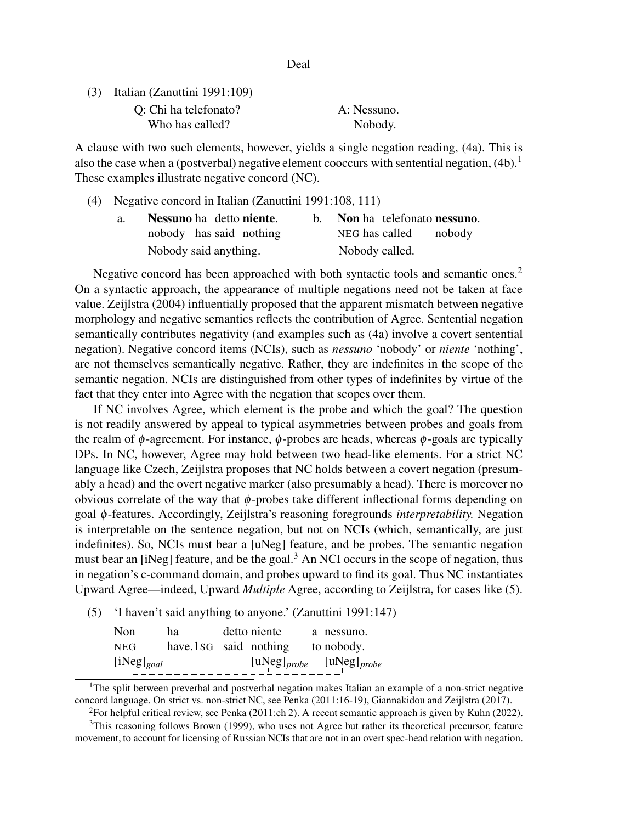Deal

(3) Italian (Zanuttini 1991:109) Q: Chi ha telefonato? A: Nessuno.

Who has called? Nobody.

A clause with two such elements, however, yields a single negation reading, (4a). This is also the case when a (postverbal) negative element cooccurs with sentential negation,  $(4b)$ .<sup>1</sup> These examples illustrate negative concord (NC).

(4) Negative concord in Italian (Zanuttini 1991:108, 111)

| a. | Nessuno ha detto niente. |                | Non ha telefonato nessuno. |  |
|----|--------------------------|----------------|----------------------------|--|
|    | nobody has said nothing  |                | NEG has called nobody      |  |
|    | Nobody said anything.    | Nobody called. |                            |  |

Negative concord has been approached with both syntactic tools and semantic ones.<sup>2</sup> On a syntactic approach, the appearance of multiple negations need not be taken at face value. Zeijlstra (2004) influentially proposed that the apparent mismatch between negative morphology and negative semantics reflects the contribution of Agree. Sentential negation semantically contributes negativity (and examples such as (4a) involve a covert sentential negation). Negative concord items (NCIs), such as *nessuno* 'nobody' or *niente* 'nothing', are not themselves semantically negative. Rather, they are indefinites in the scope of the semantic negation. NCIs are distinguished from other types of indefinites by virtue of the fact that they enter into Agree with the negation that scopes over them.

If NC involves Agree, which element is the probe and which the goal? The question is not readily answered by appeal to typical asymmetries between probes and goals from the realm of  $\phi$ -agreement. For instance,  $\phi$ -probes are heads, whereas  $\phi$ -goals are typically DPs. In NC, however, Agree may hold between two head-like elements. For a strict NC language like Czech, Zeijlstra proposes that NC holds between a covert negation (presumably a head) and the overt negative marker (also presumably a head). There is moreover no obvious correlate of the way that  $\phi$ -probes take different inflectional forms depending on goal φ-features. Accordingly, Zeijlstra's reasoning foregrounds *interpretability.* Negation is interpretable on the sentence negation, but not on NCIs (which, semantically, are just indefinites). So, NCIs must bear a [uNeg] feature, and be probes. The semantic negation must bear an [iNeg] feature, and be the goal.<sup>3</sup> An NCI occurs in the scope of negation, thus in negation's c-command domain, and probes upward to find its goal. Thus NC instantiates Upward Agree—indeed, Upward *Multiple* Agree, according to Zeijlstra, for cases like (5).

(5) 'I haven't said anything to anyone.' (Zanuttini 1991:147)

| Non.            | ha                    | detto niente | a nessuno.                                                                                                                |
|-----------------|-----------------------|--------------|---------------------------------------------------------------------------------------------------------------------------|
| <b>NEG</b>      | have.1sG said nothing |              | to nobody.                                                                                                                |
| $[iNeg]_{goal}$ |                       |              | $\begin{bmatrix} \text{uNeg} \end{bmatrix}$ <sub>probe</sub> $\begin{bmatrix} \text{uNeg} \end{bmatrix}$ <sub>probe</sub> |

<sup>&</sup>lt;sup>1</sup>The split between preverbal and postverbal negation makes Italian an example of a non-strict negative concord language. On strict vs. non-strict NC, see Penka (2011:16-19), Giannakidou and Zeijlstra (2017).

<sup>&</sup>lt;sup>2</sup>For helpful critical review, see Penka (2011:ch 2). A recent semantic approach is given by Kuhn (2022).

<sup>&</sup>lt;sup>3</sup>This reasoning follows Brown (1999), who uses not Agree but rather its theoretical precursor, feature movement, to account for licensing of Russian NCIs that are not in an overt spec-head relation with negation.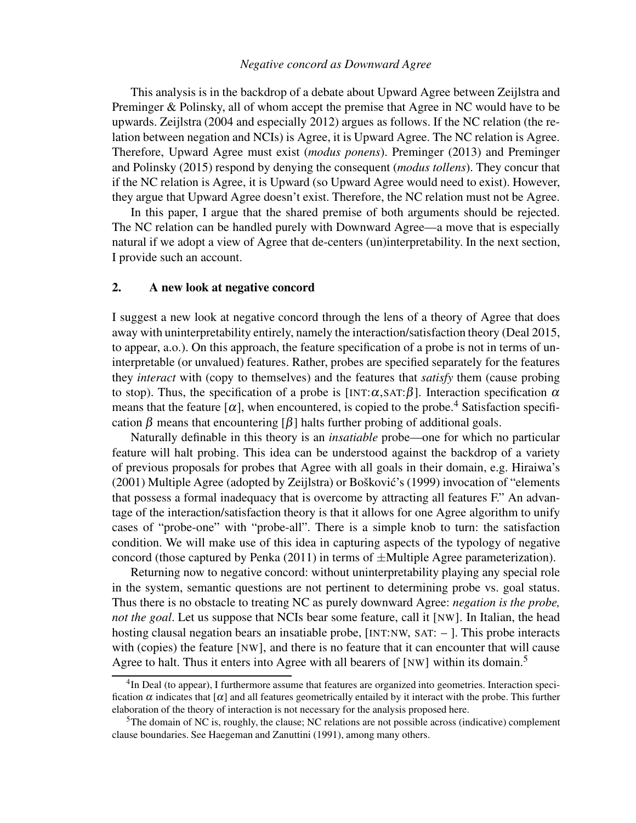### *Negative concord as Downward Agree*

This analysis is in the backdrop of a debate about Upward Agree between Zeijlstra and Preminger & Polinsky, all of whom accept the premise that Agree in NC would have to be upwards. Zeijlstra (2004 and especially 2012) argues as follows. If the NC relation (the relation between negation and NCIs) is Agree, it is Upward Agree. The NC relation is Agree. Therefore, Upward Agree must exist (*modus ponens*). Preminger (2013) and Preminger and Polinsky (2015) respond by denying the consequent (*modus tollens*). They concur that if the NC relation is Agree, it is Upward (so Upward Agree would need to exist). However, they argue that Upward Agree doesn't exist. Therefore, the NC relation must not be Agree.

In this paper, I argue that the shared premise of both arguments should be rejected. The NC relation can be handled purely with Downward Agree—a move that is especially natural if we adopt a view of Agree that de-centers (un)interpretability. In the next section, I provide such an account.

### 2. A new look at negative concord

I suggest a new look at negative concord through the lens of a theory of Agree that does away with uninterpretability entirely, namely the interaction/satisfaction theory (Deal 2015, to appear, a.o.). On this approach, the feature specification of a probe is not in terms of uninterpretable (or unvalued) features. Rather, probes are specified separately for the features they *interact* with (copy to themselves) and the features that *satisfy* them (cause probing to stop). Thus, the specification of a probe is [INT: $\alpha$ , SAT: $\beta$ ]. Interaction specification  $\alpha$ means that the feature  $[\alpha]$ , when encountered, is copied to the probe.<sup>4</sup> Satisfaction specification  $\beta$  means that encountering  $\lceil \beta \rceil$  halts further probing of additional goals.

Naturally definable in this theory is an *insatiable* probe—one for which no particular feature will halt probing. This idea can be understood against the backdrop of a variety of previous proposals for probes that Agree with all goals in their domain, e.g. Hiraiwa's (2001) Multiple Agree (adopted by Zeijlstra) or Bošković's (1999) invocation of "elements" that possess a formal inadequacy that is overcome by attracting all features F." An advantage of the interaction/satisfaction theory is that it allows for one Agree algorithm to unify cases of "probe-one" with "probe-all". There is a simple knob to turn: the satisfaction condition. We will make use of this idea in capturing aspects of the typology of negative concord (those captured by Penka  $(2011)$  in terms of  $\pm$ Multiple Agree parameterization).

Returning now to negative concord: without uninterpretability playing any special role in the system, semantic questions are not pertinent to determining probe vs. goal status. Thus there is no obstacle to treating NC as purely downward Agree: *negation is the probe, not the goal*. Let us suppose that NCIs bear some feature, call it [NW]. In Italian, the head hosting clausal negation bears an insatiable probe, [INT:NW, SAT: - ]. This probe interacts with (copies) the feature [NW], and there is no feature that it can encounter that will cause Agree to halt. Thus it enters into Agree with all bearers of [NW] within its domain.<sup>5</sup>

<sup>&</sup>lt;sup>4</sup>In Deal (to appear), I furthermore assume that features are organized into geometries. Interaction specification  $\alpha$  indicates that  $[\alpha]$  and all features geometrically entailed by it interact with the probe. This further elaboration of the theory of interaction is not necessary for the analysis proposed here.

<sup>5</sup>The domain of NC is, roughly, the clause; NC relations are not possible across (indicative) complement clause boundaries. See Haegeman and Zanuttini (1991), among many others.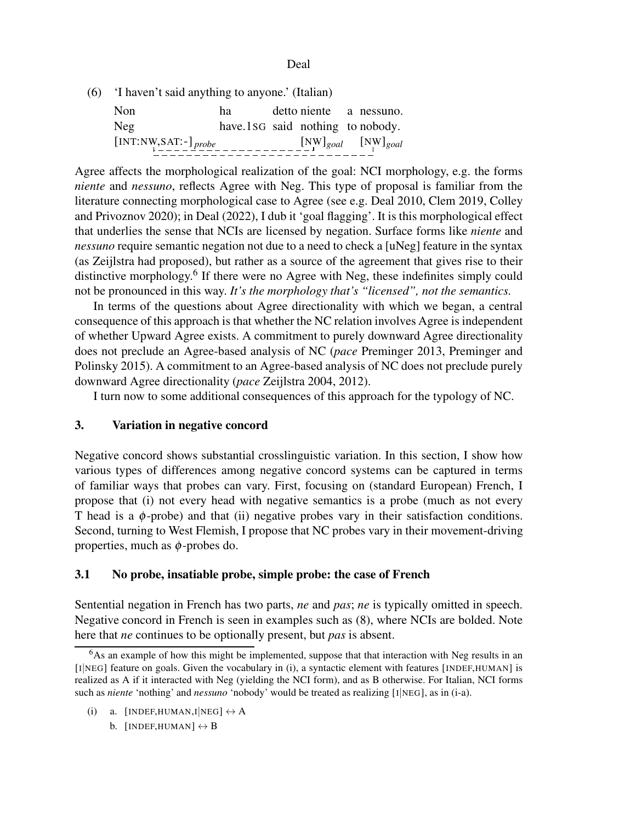Deal

(6) 'I haven't said anything to anyone.' (Italian)

| N <sub>on</sub>                             | ha                               |  | detto niente a nessuno.       |
|---------------------------------------------|----------------------------------|--|-------------------------------|
| Neg                                         | have lsg said nothing to nobody. |  |                               |
| $\left[\text{INT:NW, SAT:-}\right]_{probe}$ |                                  |  | $[N_W]_{goal}$ $[N_W]_{goal}$ |

Agree affects the morphological realization of the goal: NCI morphology, e.g. the forms *niente* and *nessuno*, reflects Agree with Neg. This type of proposal is familiar from the literature connecting morphological case to Agree (see e.g. Deal 2010, Clem 2019, Colley and Privoznov 2020); in Deal (2022), I dub it 'goal flagging'. It is this morphological effect that underlies the sense that NCIs are licensed by negation. Surface forms like *niente* and *nessuno* require semantic negation not due to a need to check a [uNeg] feature in the syntax (as Zeijlstra had proposed), but rather as a source of the agreement that gives rise to their distinctive morphology.<sup>6</sup> If there were no Agree with Neg, these indefinites simply could not be pronounced in this way. *It's the morphology that's "licensed", not the semantics.*

In terms of the questions about Agree directionality with which we began, a central consequence of this approach is that whether the NC relation involves Agree is independent of whether Upward Agree exists. A commitment to purely downward Agree directionality does not preclude an Agree-based analysis of NC (*pace* Preminger 2013, Preminger and Polinsky 2015). A commitment to an Agree-based analysis of NC does not preclude purely downward Agree directionality (*pace* Zeijlstra 2004, 2012).

I turn now to some additional consequences of this approach for the typology of NC.

# 3. Variation in negative concord

Negative concord shows substantial crosslinguistic variation. In this section, I show how various types of differences among negative concord systems can be captured in terms of familiar ways that probes can vary. First, focusing on (standard European) French, I propose that (i) not every head with negative semantics is a probe (much as not every T head is a  $\phi$ -probe) and that (ii) negative probes vary in their satisfaction conditions. Second, turning to West Flemish, I propose that NC probes vary in their movement-driving properties, much as  $\phi$ -probes do.

# 3.1 No probe, insatiable probe, simple probe: the case of French

Sentential negation in French has two parts, *ne* and *pas*; *ne* is typically omitted in speech. Negative concord in French is seen in examples such as (8), where NCIs are bolded. Note here that *ne* continues to be optionally present, but *pas* is absent.

(i) a. [INDEF, HUMAN, I|NEG]  $\leftrightarrow$  A b.  $[INDEX, HUMAN] \leftrightarrow B$ 

 $6$ As an example of how this might be implemented, suppose that that interaction with Neg results in an [I|NEG] feature on goals. Given the vocabulary in (i), a syntactic element with features [INDEF,HUMAN] is realized as A if it interacted with Neg (yielding the NCI form), and as B otherwise. For Italian, NCI forms such as *niente* 'nothing' and *nessuno* 'nobody' would be treated as realizing [I|NEG], as in (i-a).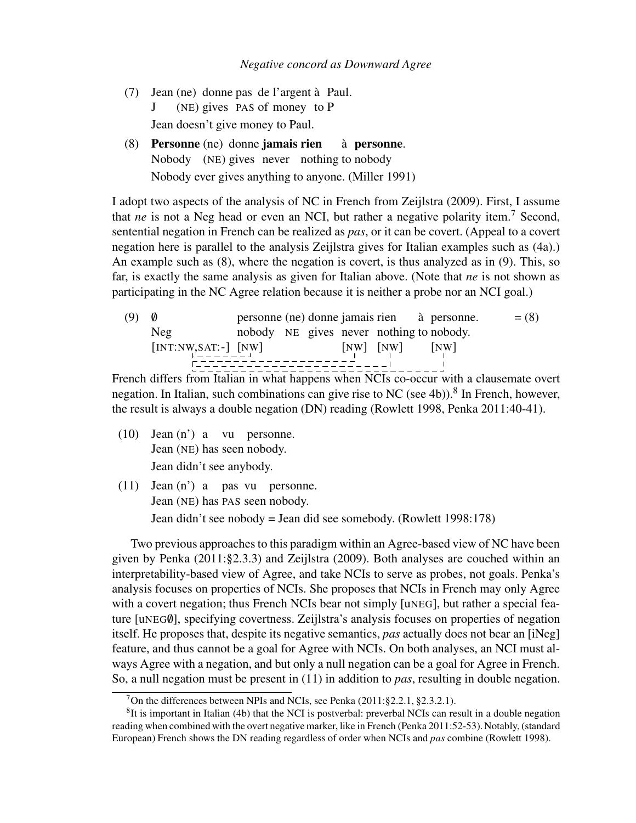- (7) Jean (ne) donne pas de l'argent `a Paul. J (NE) gives PAS of money to P Jean doesn't give money to Paul.
- (8) Personne (ne) donne jamais rien Nobody (NE) gives never nothing to nobody à personne. Nobody ever gives anything to anyone. (Miller 1991)

I adopt two aspects of the analysis of NC in French from Zeijlstra (2009). First, I assume that *ne* is not a Neg head or even an NCI, but rather a negative polarity item.<sup>7</sup> Second, sentential negation in French can be realized as *pas*, or it can be covert. (Appeal to a covert negation here is parallel to the analysis Zeijlstra gives for Italian examples such as (4a).) An example such as (8), where the negation is covert, is thus analyzed as in (9). This, so far, is exactly the same analysis as given for Italian above. (Note that *ne* is not shown as participating in the NC Agree relation because it is neither a probe nor an NCI goal.)

(9) 0 personne (ne) donne jamais rien à personne. 
$$
= (8)
$$
 nobody NE gives never nothing to nobody.  $[INT:NW, SAT:-]$   $[NW]$   $[NW]$   $[NW]$   $[NW]$   $[NW]$   $[NW]$   $[NW]$   $[NW]$   $[NW]$   $[NW]$   $[NW]$   $[NW]$   $[NW]$   $[NW]$   $[NW]$   $[NW]$   $[NW]$   $[NW]$   $[NW]$   $[NW]$   $[NW]$   $[NW]$   $[NW]$   $[NW]$   $[NW]$   $[NW]$   $[NW]$   $[NW]$   $[NW]$   $[NW]$   $[NW]$   $[NW]$   $[NW]$   $[NW]$   $[NW]$   $[NW]$   $[NW]$   $[NW]$   $[NW]$   $[NW]$   $[NW]$   $[NW]$   $[NW]$   $[NW]$   $[NW]$   $[NW]$   $[NW]$   $[NW]$   $[NW]$   $[NW]$   $[NW]$   $[NW]$   $[NW]$   $[NW]$   $[NW]$   $[NW]$   $[NW]$   $[NW]$   $[NW]$   $[NW]$   $[NW]$   $[NW]$   $[NW]$   $[NW]$   $$ 

French differs from Italian in what happens when NCIs co-occur with a clausemate overt negation. In Italian, such combinations can give rise to NC (see 4b)).<sup>8</sup> In French, however, the result is always a double negation (DN) reading (Rowlett 1998, Penka 2011:40-41).

- (10) Jean (n') a vu personne. Jean (NE) has seen nobody. Jean didn't see anybody.
- (11) Jean (n') a pas vu personne. Jean (NE) has PAS seen nobody. Jean didn't see nobody = Jean did see somebody. (Rowlett 1998:178)

Two previous approaches to this paradigm within an Agree-based view of NC have been given by Penka (2011:§2.3.3) and Zeijlstra (2009). Both analyses are couched within an interpretability-based view of Agree, and take NCIs to serve as probes, not goals. Penka's analysis focuses on properties of NCIs. She proposes that NCIs in French may only Agree with a covert negation; thus French NCIs bear not simply [uNEG], but rather a special feature [uNEG0], specifying covertness. Zeijlstra's analysis focuses on properties of negation itself. He proposes that, despite its negative semantics, *pas* actually does not bear an [iNeg] feature, and thus cannot be a goal for Agree with NCIs. On both analyses, an NCI must always Agree with a negation, and but only a null negation can be a goal for Agree in French. So, a null negation must be present in (11) in addition to *pas*, resulting in double negation.

<sup>&</sup>lt;sup>7</sup>On the differences between NPIs and NCIs, see Penka (2011: §2.2.1, §2.3.2.1).

<sup>&</sup>lt;sup>8</sup>It is important in Italian (4b) that the NCI is postverbal: preverbal NCIs can result in a double negation reading when combined with the overt negative marker, like in French (Penka 2011:52-53). Notably, (standard European) French shows the DN reading regardless of order when NCIs and *pas* combine (Rowlett 1998).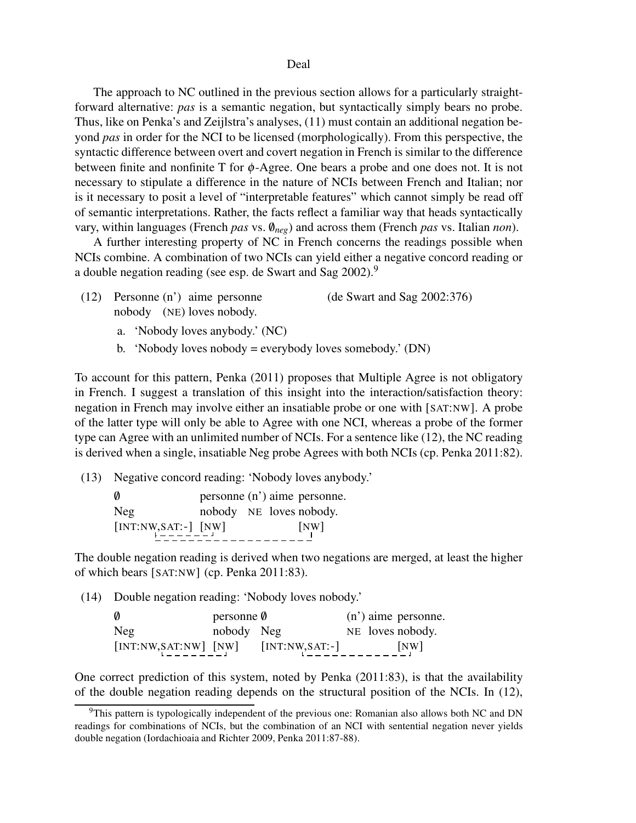#### Deal

The approach to NC outlined in the previous section allows for a particularly straightforward alternative: *pas* is a semantic negation, but syntactically simply bears no probe. Thus, like on Penka's and Zeijlstra's analyses, (11) must contain an additional negation beyond *pas* in order for the NCI to be licensed (morphologically). From this perspective, the syntactic difference between overt and covert negation in French is similar to the difference between finite and nonfinite T for φ-Agree. One bears a probe and one does not. It is not necessary to stipulate a difference in the nature of NCIs between French and Italian; nor is it necessary to posit a level of "interpretable features" which cannot simply be read off of semantic interpretations. Rather, the facts reflect a familiar way that heads syntactically vary, within languages (French *pas* vs.  $\theta_{neg}$ ) and across them (French *pas* vs. Italian *non*).

A further interesting property of NC in French concerns the readings possible when NCIs combine. A combination of two NCIs can yield either a negative concord reading or a double negation reading (see esp. de Swart and Sag 2002).<sup>9</sup>

- (12) Personne (n') aime personne nobody (NE) loves nobody. (de Swart and Sag 2002:376)
	- a. 'Nobody loves anybody.' (NC)
	- b. 'Nobody loves nobody = everybody loves somebody.' (DN)

To account for this pattern, Penka (2011) proposes that Multiple Agree is not obligatory in French. I suggest a translation of this insight into the interaction/satisfaction theory: negation in French may involve either an insatiable probe or one with [SAT:NW]. A probe of the latter type will only be able to Agree with one NCI, whereas a probe of the former type can Agree with an unlimited number of NCIs. For a sentence like (12), the NC reading is derived when a single, insatiable Neg probe Agrees with both NCIs (cp. Penka 2011:82).

(13) Negative concord reading: 'Nobody loves anybody.'

| Ø                                                                              |                         |  | personne (n') aime personne. |
|--------------------------------------------------------------------------------|-------------------------|--|------------------------------|
| Neg                                                                            | nobody NE loves nobody. |  |                              |
| $\begin{bmatrix} \text{INT:} \text{NW,} \text{SAT:} \\ \text{N} \end{bmatrix}$ |                         |  | [NW]                         |

The double negation reading is derived when two negations are merged, at least the higher of which bears [SAT:NW] (cp. Penka 2011:83).

(14) Double negation reading: 'Nobody loves nobody.'

| - 0                                                                                                    | personne $\emptyset$ |                   | $(n')$ aime personne. |
|--------------------------------------------------------------------------------------------------------|----------------------|-------------------|-----------------------|
| Neg                                                                                                    | nobody Neg           |                   | NE loves nobody.      |
| $\begin{bmatrix} \text{INT:NW}, \text{SAT:NW} \end{bmatrix}$ $\begin{bmatrix} \text{NW} \end{bmatrix}$ |                      | $[INT:NW, SAT:-]$ | [NW]                  |

One correct prediction of this system, noted by Penka (2011:83), is that the availability of the double negation reading depends on the structural position of the NCIs. In (12),

 $9$ This pattern is typologically independent of the previous one: Romanian also allows both NC and DN readings for combinations of NCIs, but the combination of an NCI with sentential negation never yields double negation (Iordachioaia and Richter 2009, Penka 2011:87-88).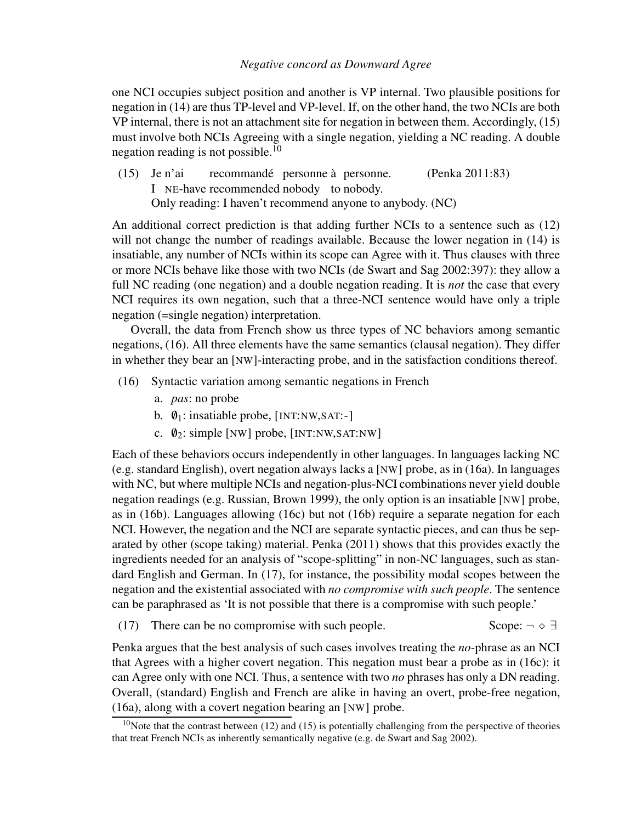## *Negative concord as Downward Agree*

one NCI occupies subject position and another is VP internal. Two plausible positions for negation in (14) are thus TP-level and VP-level. If, on the other hand, the two NCIs are both VP internal, there is not an attachment site for negation in between them. Accordingly, (15) must involve both NCIs Agreeing with a single negation, yielding a NC reading. A double negation reading is not possible.<sup>10</sup>

(15) Je n'ai I NE-have recommended nobody to nobody. recommandé personne à personne. (Penka 2011:83) Only reading: I haven't recommend anyone to anybody. (NC)

An additional correct prediction is that adding further NCIs to a sentence such as (12) will not change the number of readings available. Because the lower negation in  $(14)$  is insatiable, any number of NCIs within its scope can Agree with it. Thus clauses with three or more NCIs behave like those with two NCIs (de Swart and Sag 2002:397): they allow a full NC reading (one negation) and a double negation reading. It is *not* the case that every NCI requires its own negation, such that a three-NCI sentence would have only a triple negation (=single negation) interpretation.

Overall, the data from French show us three types of NC behaviors among semantic negations, (16). All three elements have the same semantics (clausal negation). They differ in whether they bear an [NW]-interacting probe, and in the satisfaction conditions thereof.

- (16) Syntactic variation among semantic negations in French
	- a. *pas*: no probe
	- b.  $\varnothing_1$ : insatiable probe, [INT:NW,SAT:-]
	- c.  $\varnothing$ <sub>2</sub>: simple [NW] probe, [INT:NW,SAT:NW]

Each of these behaviors occurs independently in other languages. In languages lacking NC (e.g. standard English), overt negation always lacks a [NW] probe, as in (16a). In languages with NC, but where multiple NCIs and negation-plus-NCI combinations never yield double negation readings (e.g. Russian, Brown 1999), the only option is an insatiable [NW] probe, as in (16b). Languages allowing (16c) but not (16b) require a separate negation for each NCI. However, the negation and the NCI are separate syntactic pieces, and can thus be separated by other (scope taking) material. Penka (2011) shows that this provides exactly the ingredients needed for an analysis of "scope-splitting" in non-NC languages, such as standard English and German. In (17), for instance, the possibility modal scopes between the negation and the existential associated with *no compromise with such people*. The sentence can be paraphrased as 'It is not possible that there is a compromise with such people.'

(17) There can be no compromise with such people. Scope:  $\neg \Diamond \exists$ 

Penka argues that the best analysis of such cases involves treating the *no*-phrase as an NCI that Agrees with a higher covert negation. This negation must bear a probe as in (16c): it can Agree only with one NCI. Thus, a sentence with two *no* phrases has only a DN reading. Overall, (standard) English and French are alike in having an overt, probe-free negation, (16a), along with a covert negation bearing an [NW] probe.

<sup>&</sup>lt;sup>10</sup>Note that the contrast between (12) and (15) is potentially challenging from the perspective of theories that treat French NCIs as inherently semantically negative (e.g. de Swart and Sag 2002).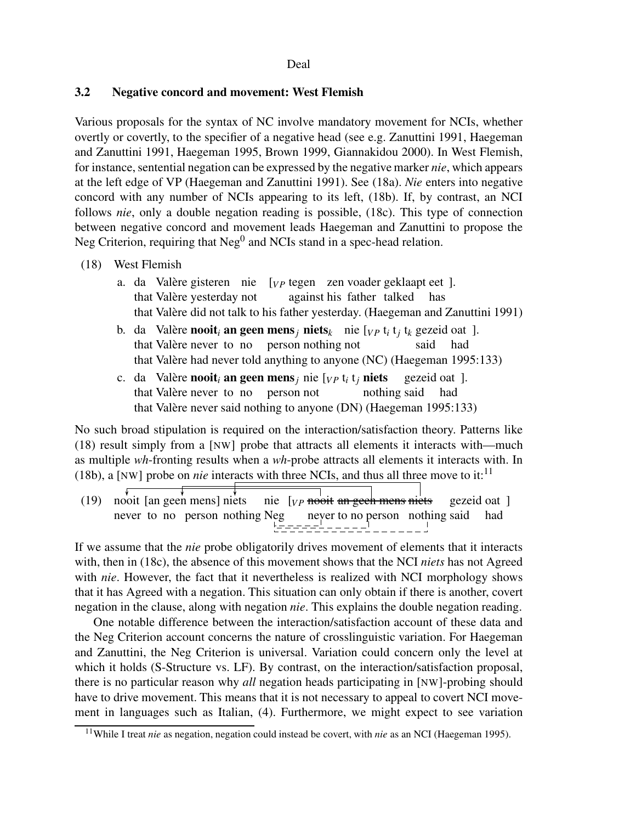# 3.2 Negative concord and movement: West Flemish

Various proposals for the syntax of NC involve mandatory movement for NCIs, whether overtly or covertly, to the specifier of a negative head (see e.g. Zanuttini 1991, Haegeman and Zanuttini 1991, Haegeman 1995, Brown 1999, Giannakidou 2000). In West Flemish, for instance, sentential negation can be expressed by the negative marker *nie*, which appears at the left edge of VP (Haegeman and Zanuttini 1991). See (18a). *Nie* enters into negative concord with any number of NCIs appearing to its left, (18b). If, by contrast, an NCI follows *nie*, only a double negation reading is possible, (18c). This type of connection between negative concord and movement leads Haegeman and Zanuttini to propose the Neg Criterion, requiring that  $Neg<sup>0</sup>$  and NCIs stand in a spec-head relation.

## (18) West Flemish

- a. da Valère gisteren nie that Valère yesterday not [<sub>*VP*</sub> tegen zen voader geklaapt eet ]. against his father talked has that Valère did not talk to his father yesterday. (Haegeman and Zanuttini 1991)
- b. da Valère **nooit<sub>i</sub> an geen mens**<sub>*j*</sub> **niets**<sub>k</sub> nie [<sub>*VP*</sub> t<sub>*i*</sub> t<sub>*j*</sub> t<sub>*k*</sub> gezeid oat ]. that Valère never to no person nothing not said had that Valère had never told anything to anyone (NC) (Haegeman 1995:133)
- c. da Valère **nooit**<sub>*i*</sub> an geen mens<sub>*j*</sub> nie [<sub>*VP*</sub> t<sub>*i*</sub> t<sub>*j*</sub> niets that Valère never to no person not nothing said gezeid oat ]. had that Valère never said nothing to anyone (DN) (Haegeman 1995:133)

No such broad stipulation is required on the interaction/satisfaction theory. Patterns like (18) result simply from a [NW] probe that attracts all elements it interacts with—much as multiple *wh*-fronting results when a *wh*-probe attracts all elements it interacts with. In (18b), a [NW] probe on *nie* interacts with three NCIs, and thus all three move to it:<sup>11</sup>

(19) nooit [an geen mens] niets never to no person nothing Neg nie [<sub>VP</sub> <del>nooit an geeh mens niets</del> never to no person nothing said gezeid oat ] had

If we assume that the *nie* probe obligatorily drives movement of elements that it interacts with, then in (18c), the absence of this movement shows that the NCI *niets* has not Agreed with *nie*. However, the fact that it nevertheless is realized with NCI morphology shows that it has Agreed with a negation. This situation can only obtain if there is another, covert negation in the clause, along with negation *nie*. This explains the double negation reading.

One notable difference between the interaction/satisfaction account of these data and the Neg Criterion account concerns the nature of crosslinguistic variation. For Haegeman and Zanuttini, the Neg Criterion is universal. Variation could concern only the level at which it holds (S-Structure vs. LF). By contrast, on the interaction/satisfaction proposal, there is no particular reason why *all* negation heads participating in [NW]-probing should have to drive movement. This means that it is not necessary to appeal to covert NCI movement in languages such as Italian, (4). Furthermore, we might expect to see variation

<sup>11</sup>While I treat *nie* as negation, negation could instead be covert, with *nie* as an NCI (Haegeman 1995).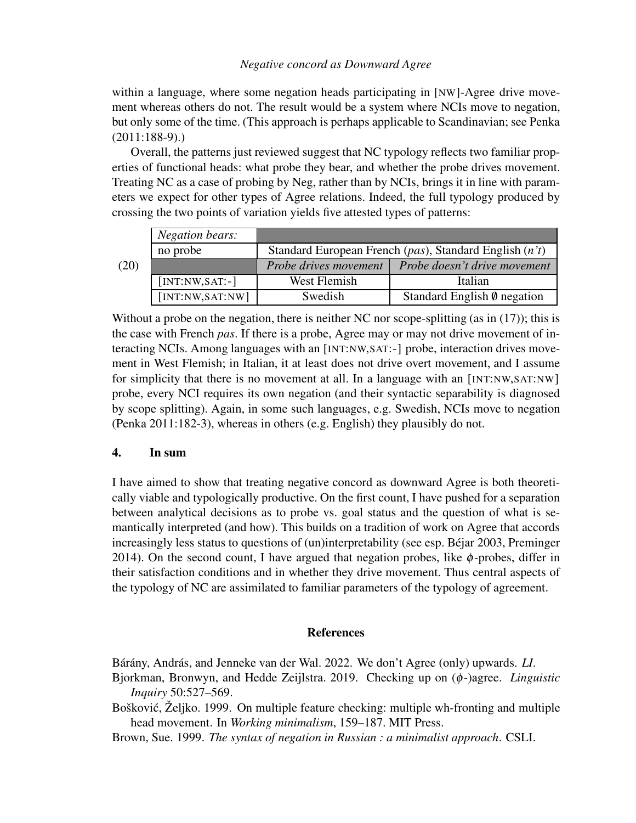## *Negative concord as Downward Agree*

within a language, where some negation heads participating in [NW]-Agree drive movement whereas others do not. The result would be a system where NCIs move to negation, but only some of the time. (This approach is perhaps applicable to Scandinavian; see Penka (2011:188-9).)

Overall, the patterns just reviewed suggest that NC typology reflects two familiar properties of functional heads: what probe they bear, and whether the probe drives movement. Treating NC as a case of probing by Neg, rather than by NCIs, brings it in line with parameters we expect for other types of Agree relations. Indeed, the full typology produced by crossing the two points of variation yields five attested types of patterns:

|                                                                    | Negation bears:   |                       |                                    |  |
|--------------------------------------------------------------------|-------------------|-----------------------|------------------------------------|--|
| Standard European French (pas), Standard English (n't)<br>no probe |                   |                       |                                    |  |
| (20)                                                               |                   | Probe drives movement | Probe doesn't drive movement       |  |
|                                                                    | $[INT:NW, SAT:-]$ | West Flemish          | Italian                            |  |
|                                                                    | [INT:NW, SAT: NW] | Swedish               | Standard English $\theta$ negation |  |

Without a probe on the negation, there is neither NC nor scope-splitting (as in (17)); this is the case with French *pas*. If there is a probe, Agree may or may not drive movement of interacting NCIs. Among languages with an [INT:NW,SAT:-] probe, interaction drives movement in West Flemish; in Italian, it at least does not drive overt movement, and I assume for simplicity that there is no movement at all. In a language with an [INT:NW,SAT:NW] probe, every NCI requires its own negation (and their syntactic separability is diagnosed by scope splitting). Again, in some such languages, e.g. Swedish, NCIs move to negation (Penka 2011:182-3), whereas in others (e.g. English) they plausibly do not.

# 4. In sum

I have aimed to show that treating negative concord as downward Agree is both theoretically viable and typologically productive. On the first count, I have pushed for a separation between analytical decisions as to probe vs. goal status and the question of what is semantically interpreted (and how). This builds on a tradition of work on Agree that accords increasingly less status to questions of (un)interpretability (see esp. Béjar 2003, Preminger 2014). On the second count, I have argued that negation probes, like  $\phi$ -probes, differ in their satisfaction conditions and in whether they drive movement. Thus central aspects of the typology of NC are assimilated to familiar parameters of the typology of agreement.

#### References

Bárány, András, and Jenneke van der Wal. 2022. We don't Agree (only) upwards. *LI*.

- Bjorkman, Bronwyn, and Hedde Zeijlstra. 2019. Checking up on (φ-)agree. *Linguistic Inquiry* 50:527–569.
- Bošković, Željko. 1999. On multiple feature checking: multiple wh-fronting and multiple head movement. In *Working minimalism*, 159–187. MIT Press.

Brown, Sue. 1999. *The syntax of negation in Russian : a minimalist approach*. CSLI.